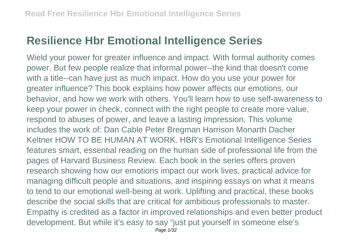## **Resilience Hbr Emotional Intelligence Series**

Wield your power for greater influence and impact. With formal authority comes power. But few people realize that informal power--the kind that doesn't come with a title--can have just as much impact. How do you use your power for greater influence? This book explains how power affects our emotions, our behavior, and how we work with others. You'll learn how to use self-awareness to keep your power in check, connect with the right people to create more value, respond to abuses of power, and leave a lasting impression. This volume includes the work of: Dan Cable Peter Bregman Harrison Monarth Dacher Keltner HOW TO BE HUMAN AT WORK. HBR's Emotional Intelligence Series features smart, essential reading on the human side of professional life from the pages of Harvard Business Review. Each book in the series offers proven research showing how our emotions impact our work lives, practical advice for managing difficult people and situations, and inspiring essays on what it means to tend to our emotional well-being at work. Uplifting and practical, these books describe the social skills that are critical for ambitious professionals to master. Empathy is credited as a factor in improved relationships and even better product development. But while it's easy to say "just put yourself in someone else's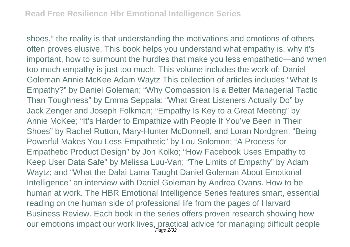shoes," the reality is that understanding the motivations and emotions of others often proves elusive. This book helps you understand what empathy is, why it's important, how to surmount the hurdles that make you less empathetic—and when too much empathy is just too much. This volume includes the work of: Daniel Goleman Annie McKee Adam Waytz This collection of articles includes "What Is Empathy?" by Daniel Goleman; "Why Compassion Is a Better Managerial Tactic Than Toughness" by Emma Seppala; "What Great Listeners Actually Do" by Jack Zenger and Joseph Folkman; "Empathy Is Key to a Great Meeting" by Annie McKee; "It's Harder to Empathize with People If You've Been in Their Shoes" by Rachel Rutton, Mary-Hunter McDonnell, and Loran Nordgren; "Being Powerful Makes You Less Empathetic" by Lou Solomon; "A Process for Empathetic Product Design" by Jon Kolko; "How Facebook Uses Empathy to Keep User Data Safe" by Melissa Luu-Van; "The Limits of Empathy" by Adam Waytz; and "What the Dalai Lama Taught Daniel Goleman About Emotional Intelligence" an interview with Daniel Goleman by Andrea Ovans. How to be human at work. The HBR Emotional Intelligence Series features smart, essential reading on the human side of professional life from the pages of Harvard Business Review. Each book in the series offers proven research showing how our emotions impact our work lives, practical advice for managing difficult people Page 2/32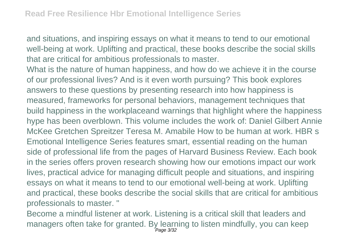and situations, and inspiring essays on what it means to tend to our emotional well-being at work. Uplifting and practical, these books describe the social skills that are critical for ambitious professionals to master.

What is the nature of human happiness, and how do we achieve it in the course of our professional lives? And is it even worth pursuing? This book explores answers to these questions by presenting research into how happiness is measured, frameworks for personal behaviors, management techniques that build happiness in the workplaceand warnings that highlight where the happiness hype has been overblown. This volume includes the work of: Daniel Gilbert Annie McKee Gretchen Spreitzer Teresa M. Amabile How to be human at work. HBR s Emotional Intelligence Series features smart, essential reading on the human side of professional life from the pages of Harvard Business Review. Each book in the series offers proven research showing how our emotions impact our work lives, practical advice for managing difficult people and situations, and inspiring essays on what it means to tend to our emotional well-being at work. Uplifting and practical, these books describe the social skills that are critical for ambitious professionals to master. "

Become a mindful listener at work. Listening is a critical skill that leaders and managers often take for granted. By learning to listen mindfully, you can keep Page 3/32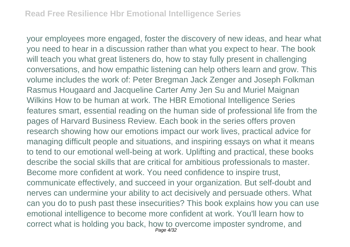your employees more engaged, foster the discovery of new ideas, and hear what you need to hear in a discussion rather than what you expect to hear. The book will teach you what great listeners do, how to stay fully present in challenging conversations, and how empathic listening can help others learn and grow. This volume includes the work of: Peter Bregman Jack Zenger and Joseph Folkman Rasmus Hougaard and Jacqueline Carter Amy Jen Su and Muriel Maignan Wilkins How to be human at work. The HBR Emotional Intelligence Series features smart, essential reading on the human side of professional life from the pages of Harvard Business Review. Each book in the series offers proven research showing how our emotions impact our work lives, practical advice for managing difficult people and situations, and inspiring essays on what it means to tend to our emotional well-being at work. Uplifting and practical, these books describe the social skills that are critical for ambitious professionals to master. Become more confident at work. You need confidence to inspire trust, communicate effectively, and succeed in your organization. But self-doubt and nerves can undermine your ability to act decisively and persuade others. What can you do to push past these insecurities? This book explains how you can use emotional intelligence to become more confident at work. You'll learn how to correct what is holding you back, how to overcome imposter syndrome, and Page 4/32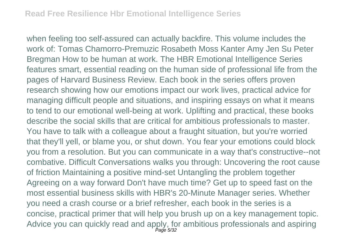when feeling too self-assured can actually backfire. This volume includes the work of: Tomas Chamorro-Premuzic Rosabeth Moss Kanter Amy Jen Su Peter Bregman How to be human at work. The HBR Emotional Intelligence Series features smart, essential reading on the human side of professional life from the pages of Harvard Business Review. Each book in the series offers proven research showing how our emotions impact our work lives, practical advice for managing difficult people and situations, and inspiring essays on what it means to tend to our emotional well-being at work. Uplifting and practical, these books describe the social skills that are critical for ambitious professionals to master. You have to talk with a colleague about a fraught situation, but you're worried that they'll yell, or blame you, or shut down. You fear your emotions could block you from a resolution. But you can communicate in a way that's constructive--not combative. Difficult Conversations walks you through: Uncovering the root cause of friction Maintaining a positive mind-set Untangling the problem together Agreeing on a way forward Don't have much time? Get up to speed fast on the most essential business skills with HBR's 20-Minute Manager series. Whether you need a crash course or a brief refresher, each book in the series is a concise, practical primer that will help you brush up on a key management topic. Advice you can quickly read and apply, for ambitious professionals and aspiring Page 5/32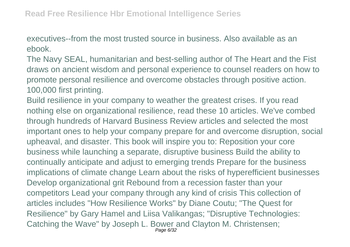executives--from the most trusted source in business. Also available as an ebook.

The Navy SEAL, humanitarian and best-selling author of The Heart and the Fist draws on ancient wisdom and personal experience to counsel readers on how to promote personal resilience and overcome obstacles through positive action. 100,000 first printing.

Build resilience in your company to weather the greatest crises. If you read nothing else on organizational resilience, read these 10 articles. We've combed through hundreds of Harvard Business Review articles and selected the most important ones to help your company prepare for and overcome disruption, social upheaval, and disaster. This book will inspire you to: Reposition your core business while launching a separate, disruptive business Build the ability to continually anticipate and adjust to emerging trends Prepare for the business implications of climate change Learn about the risks of hyperefficient businesses Develop organizational grit Rebound from a recession faster than your competitors Lead your company through any kind of crisis This collection of articles includes "How Resilience Works" by Diane Coutu; "The Quest for Resilience" by Gary Hamel and Liisa Valikangas; "Disruptive Technologies: Catching the Wave" by Joseph L. Bower and Clayton M. Christensen; Page 6/32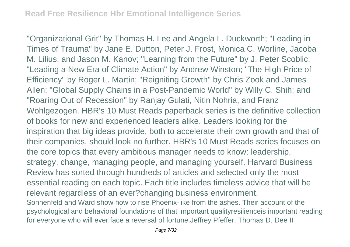"Organizational Grit" by Thomas H. Lee and Angela L. Duckworth; "Leading in Times of Trauma" by Jane E. Dutton, Peter J. Frost, Monica C. Worline, Jacoba M. Lilius, and Jason M. Kanov; "Learning from the Future" by J. Peter Scoblic; "Leading a New Era of Climate Action" by Andrew Winston; "The High Price of Efficiency" by Roger L. Martin; "Reigniting Growth" by Chris Zook and James Allen; "Global Supply Chains in a Post-Pandemic World" by Willy C. Shih; and "Roaring Out of Recession" by Ranjay Gulati, Nitin Nohria, and Franz Wohlgezogen. HBR's 10 Must Reads paperback series is the definitive collection of books for new and experienced leaders alike. Leaders looking for the inspiration that big ideas provide, both to accelerate their own growth and that of their companies, should look no further. HBR's 10 Must Reads series focuses on the core topics that every ambitious manager needs to know: leadership, strategy, change, managing people, and managing yourself. Harvard Business Review has sorted through hundreds of articles and selected only the most essential reading on each topic. Each title includes timeless advice that will be relevant regardless of an ever?changing business environment. Sonnenfeld and Ward show how to rise Phoenix-like from the ashes. Their account of the psychological and behavioral foundations of that important qualityresilienceis important reading for everyone who will ever face a reversal of fortune.Jeffrey Pfeffer, Thomas D. Dee II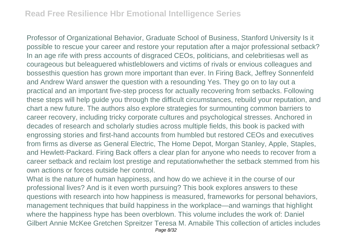Professor of Organizational Behavior, Graduate School of Business, Stanford University Is it possible to rescue your career and restore your reputation after a major professional setback? In an age rife with press accounts of disgraced CEOs, politicians, and celebritiesas well as courageous but beleaguered whistleblowers and victims of rivals or envious colleagues and bossesthis question has grown more important than ever. In Firing Back, Jeffrey Sonnenfeld and Andrew Ward answer the question with a resounding Yes. They go on to lay out a practical and an important five-step process for actually recovering from setbacks. Following these steps will help guide you through the difficult circumstances, rebuild your reputation, and chart a new future. The authors also explore strategies for surmounting common barriers to career recovery, including tricky corporate cultures and psychological stresses. Anchored in decades of research and scholarly studies across multiple fields, this book is packed with engrossing stories and first-hand accounts from humbled but restored CEOs and executives from firms as diverse as General Electric, The Home Depot, Morgan Stanley, Apple, Staples, and Hewlett-Packard. Firing Back offers a clear plan for anyone who needs to recover from a career setback and reclaim lost prestige and reputationwhether the setback stemmed from his own actions or forces outside her control.

What is the nature of human happiness, and how do we achieve it in the course of our professional lives? And is it even worth pursuing? This book explores answers to these questions with research into how happiness is measured, frameworks for personal behaviors, management techniques that build happiness in the workplace—and warnings that highlight where the happiness hype has been overblown. This volume includes the work of: Daniel Gilbert Annie McKee Gretchen Spreitzer Teresa M. Amabile This collection of articles includes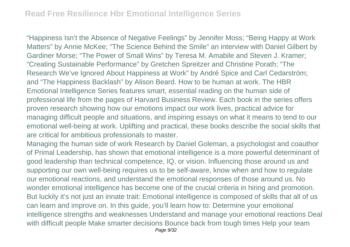"Happiness Isn't the Absence of Negative Feelings" by Jennifer Moss; "Being Happy at Work Matters" by Annie McKee; "The Science Behind the Smile" an interview with Daniel Gilbert by Gardiner Morse; "The Power of Small Wins" by Teresa M. Amabile and Steven J. Kramer; "Creating Sustainable Performance" by Gretchen Spreitzer and Christine Porath; "The Research We've Ignored About Happiness at Work" by André Spice and Carl Cedarström; and "The Happiness Backlash" by Alison Beard. How to be human at work. The HBR Emotional Intelligence Series features smart, essential reading on the human side of professional life from the pages of Harvard Business Review. Each book in the series offers proven research showing how our emotions impact our work lives, practical advice for managing difficult people and situations, and inspiring essays on what it means to tend to our emotional well-being at work. Uplifting and practical, these books describe the social skills that are critical for ambitious professionals to master.

Managing the human side of work Research by Daniel Goleman, a psychologist and coauthor of Primal Leadership, has shown that emotional intelligence is a more powerful determinant of good leadership than technical competence, IQ, or vision. Influencing those around us and supporting our own well-being requires us to be self-aware, know when and how to regulate our emotional reactions, and understand the emotional responses of those around us. No wonder emotional intelligence has become one of the crucial criteria in hiring and promotion. But luckily it's not just an innate trait: Emotional intelligence is composed of skills that all of us can learn and improve on. In this guide, you'll learn how to: Determine your emotional intelligence strengths and weaknesses Understand and manage your emotional reactions Deal with difficult people Make smarter decisions Bounce back from tough times Help your team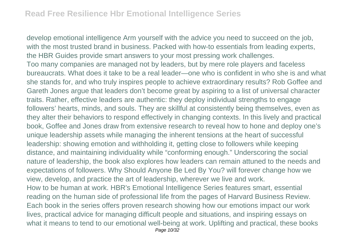develop emotional intelligence Arm yourself with the advice you need to succeed on the job, with the most trusted brand in business. Packed with how-to essentials from leading experts, the HBR Guides provide smart answers to your most pressing work challenges. Too many companies are managed not by leaders, but by mere role players and faceless bureaucrats. What does it take to be a real leader—one who is confident in who she is and what she stands for, and who truly inspires people to achieve extraordinary results? Rob Goffee and Gareth Jones argue that leaders don't become great by aspiring to a list of universal character traits. Rather, effective leaders are authentic: they deploy individual strengths to engage followers' hearts, minds, and souls. They are skillful at consistently being themselves, even as they alter their behaviors to respond effectively in changing contexts. In this lively and practical book, Goffee and Jones draw from extensive research to reveal how to hone and deploy one's unique leadership assets while managing the inherent tensions at the heart of successful leadership: showing emotion and withholding it, getting close to followers while keeping distance, and maintaining individuality while "conforming enough." Underscoring the social nature of leadership, the book also explores how leaders can remain attuned to the needs and expectations of followers. Why Should Anyone Be Led By You? will forever change how we view, develop, and practice the art of leadership, wherever we live and work. How to be human at work. HBR's Emotional Intelligence Series features smart, essential reading on the human side of professional life from the pages of Harvard Business Review. Each book in the series offers proven research showing how our emotions impact our work lives, practical advice for managing difficult people and situations, and inspiring essays on what it means to tend to our emotional well-being at work. Uplifting and practical, these books Page 10/32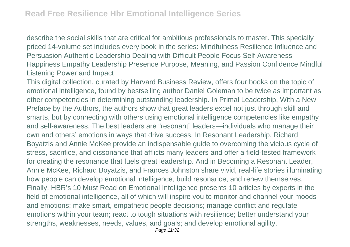describe the social skills that are critical for ambitious professionals to master. This specially priced 14-volume set includes every book in the series: Mindfulness Resilience Influence and Persuasion Authentic Leadership Dealing with Difficult People Focus Self-Awareness Happiness Empathy Leadership Presence Purpose, Meaning, and Passion Confidence Mindful Listening Power and Impact

This digital collection, curated by Harvard Business Review, offers four books on the topic of emotional intelligence, found by bestselling author Daniel Goleman to be twice as important as other competencies in determining outstanding leadership. In Primal Leadership, With a New Preface by the Authors, the authors show that great leaders excel not just through skill and smarts, but by connecting with others using emotional intelligence competencies like empathy and self-awareness. The best leaders are "resonant" leaders—individuals who manage their own and others' emotions in ways that drive success. In Resonant Leadership, Richard Boyatzis and Annie McKee provide an indispensable guide to overcoming the vicious cycle of stress, sacrifice, and dissonance that afflicts many leaders and offer a field-tested framework for creating the resonance that fuels great leadership. And in Becoming a Resonant Leader, Annie McKee, Richard Boyatzis, and Frances Johnston share vivid, real-life stories illuminating how people can develop emotional intelligence, build resonance, and renew themselves. Finally, HBR's 10 Must Read on Emotional Intelligence presents 10 articles by experts in the field of emotional intelligence, all of which will inspire you to monitor and channel your moods and emotions; make smart, empathetic people decisions; manage conflict and regulate emotions within your team; react to tough situations with resilience; better understand your strengths, weaknesses, needs, values, and goals; and develop emotional agility.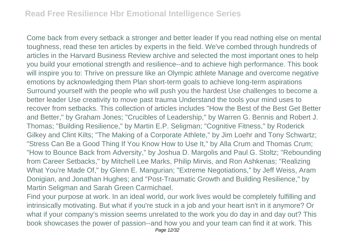Come back from every setback a stronger and better leader If you read nothing else on mental toughness, read these ten articles by experts in the field. We've combed through hundreds of articles in the Harvard Business Review archive and selected the most important ones to help you build your emotional strength and resilience--and to achieve high performance. This book will inspire you to: Thrive on pressure like an Olympic athlete Manage and overcome negative emotions by acknowledging them Plan short-term goals to achieve long-term aspirations Surround yourself with the people who will push you the hardest Use challenges to become a better leader Use creativity to move past trauma Understand the tools your mind uses to recover from setbacks. This collection of articles includes "How the Best of the Best Get Better and Better," by Graham Jones; "Crucibles of Leadership," by Warren G. Bennis and Robert J. Thomas; "Building Resilience," by Martin E.P. Seligman; "Cognitive Fitness," by Roderick Gilkey and Clint Kilts; "The Making of a Corporate Athlete," by Jim Loehr and Tony Schwartz; "Stress Can Be a Good Thing If You Know How to Use It," by Alla Crum and Thomas Crum; "How to Bounce Back from Adversity," by Joshua D. Margolis and Paul G. Stoltz; "Rebounding from Career Setbacks," by Mitchell Lee Marks, Philip Mirvis, and Ron Ashkenas; "Realizing What You're Made Of," by Glenn E. Mangurian; "Extreme Negotiations," by Jeff Weiss, Aram Donigian, and Jonathan Hughes; and "Post-Traumatic Growth and Building Resilience," by Martin Seligman and Sarah Green Carmichael.

Find your purpose at work. In an ideal world, our work lives would be completely fulfilling and intrinsically motivating. But what if you're stuck in a job and your heart isn't in it anymore? Or what if your company's mission seems unrelated to the work you do day in and day out? This book showcases the power of passion--and how you and your team can find it at work. This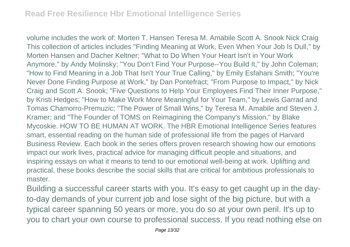volume includes the work of: Morten T. Hansen Teresa M. Amabile Scott A. Snook Nick Craig This collection of articles includes "Finding Meaning at Work, Even When Your Job Is Dull," by Morten Hansen and Dacher Keltner; "What to Do When Your Heart Isn't in Your Work Anymore," by Andy Molinsky; "You Don't Find Your Purpose--You Build It," by John Coleman; "How to Find Meaning in a Job That Isn't Your True Calling," by Emily Esfahani Smith; "You're Never Done Finding Purpose at Work," by Dan Pontefract; "From Purpose to Impact," by Nick Craig and Scott A. Snook; "Five Questions to Help Your Employees Find Their Inner Purpose," by Kristi Hedges; "How to Make Work More Meaningful for Your Team," by Lewis Garrad and Tomas Chamorro-Premuzic; "The Power of Small Wins," by Teresa M. Amabile and Steven J. Kramer; and "The Founder of TOMS on Reimagining the Company's Mission," by Blake Mycoskie. HOW TO BE HUMAN AT WORK. The HBR Emotional Intelligence Series features smart, essential reading on the human side of professional life from the pages of Harvard Business Review. Each book in the series offers proven research showing how our emotions impact our work lives, practical advice for managing difficult people and situations, and inspiring essays on what it means to tend to our emotional well-being at work. Uplifting and practical, these books describe the social skills that are critical for ambitious professionals to master.

Building a successful career starts with you. It's easy to get caught up in the dayto-day demands of your current job and lose sight of the big picture, but with a typical career spanning 50 years or more, you do so at your own peril. It's up to you to chart your own course to professional success. If you read nothing else on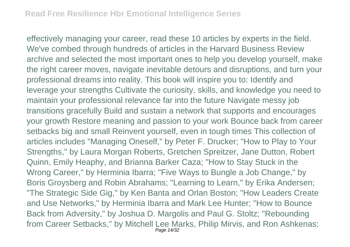effectively managing your career, read these 10 articles by experts in the field. We've combed through hundreds of articles in the Harvard Business Review archive and selected the most important ones to help you develop yourself, make the right career moves, navigate inevitable detours and disruptions, and turn your professional dreams into reality. This book will inspire you to: Identify and leverage your strengths Cultivate the curiosity, skills, and knowledge you need to maintain your professional relevance far into the future Navigate messy job transitions gracefully Build and sustain a network that supports and encourages your growth Restore meaning and passion to your work Bounce back from career setbacks big and small Reinvent yourself, even in tough times This collection of articles includes "Managing Oneself," by Peter F. Drucker; "How to Play to Your Strengths," by Laura Morgan Roberts, Gretchen Spreitzer, Jane Dutton, Robert Quinn, Emily Heaphy, and Brianna Barker Caza; "How to Stay Stuck in the Wrong Career," by Herminia Ibarra; "Five Ways to Bungle a Job Change," by Boris Groysberg and Robin Abrahams; "Learning to Learn," by Erika Andersen; "The Strategic Side Gig," by Ken Banta and Orlan Boston; "How Leaders Create and Use Networks," by Herminia Ibarra and Mark Lee Hunter; "How to Bounce Back from Adversity," by Joshua D. Margolis and Paul G. Stoltz; "Rebounding from Career Setbacks," by Mitchell Lee Marks, Philip Mirvis, and Ron Ashkenas; Page 14/32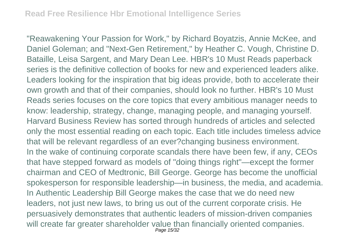"Reawakening Your Passion for Work," by Richard Boyatzis, Annie McKee, and Daniel Goleman; and "Next-Gen Retirement," by Heather C. Vough, Christine D. Bataille, Leisa Sargent, and Mary Dean Lee. HBR's 10 Must Reads paperback series is the definitive collection of books for new and experienced leaders alike. Leaders looking for the inspiration that big ideas provide, both to accelerate their own growth and that of their companies, should look no further. HBR's 10 Must Reads series focuses on the core topics that every ambitious manager needs to know: leadership, strategy, change, managing people, and managing yourself. Harvard Business Review has sorted through hundreds of articles and selected only the most essential reading on each topic. Each title includes timeless advice that will be relevant regardless of an ever?changing business environment. In the wake of continuing corporate scandals there have been few, if any, CEOs that have stepped forward as models of "doing things right"—except the former chairman and CEO of Medtronic, Bill George. George has become the unofficial spokesperson for responsible leadership—in business, the media, and academia. In Authentic Leadership Bill George makes the case that we do need new leaders, not just new laws, to bring us out of the current corporate crisis. He persuasively demonstrates that authentic leaders of mission-driven companies will create far greater shareholder value than financially oriented companies. Page 15/32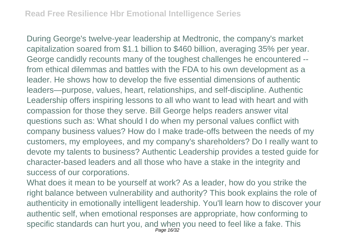During George's twelve-year leadership at Medtronic, the company's market capitalization soared from \$1.1 billion to \$460 billion, averaging 35% per year. George candidly recounts many of the toughest challenges he encountered - from ethical dilemmas and battles with the FDA to his own development as a leader. He shows how to develop the five essential dimensions of authentic leaders—purpose, values, heart, relationships, and self-discipline. Authentic Leadership offers inspiring lessons to all who want to lead with heart and with compassion for those they serve. Bill George helps readers answer vital questions such as: What should I do when my personal values conflict with company business values? How do I make trade-offs between the needs of my customers, my employees, and my company's shareholders? Do I really want to devote my talents to business? Authentic Leadership provides a tested guide for character-based leaders and all those who have a stake in the integrity and success of our corporations.

What does it mean to be yourself at work? As a leader, how do you strike the right balance between vulnerability and authority? This book explains the role of authenticity in emotionally intelligent leadership. You'll learn how to discover your authentic self, when emotional responses are appropriate, how conforming to specific standards can hurt you, and when you need to feel like a fake. This Page 16/32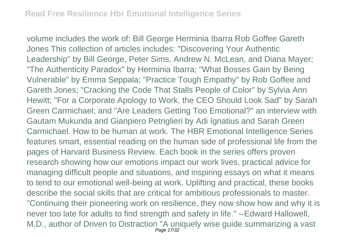volume includes the work of: Bill George Herminia Ibarra Rob Goffee Gareth Jones This collection of articles includes: "Discovering Your Authentic Leadership" by Bill George, Peter Sims, Andrew N. McLean, and Diana Mayer; "The Authenticity Paradox" by Herminia Ibarra; "What Bosses Gain by Being Vulnerable" by Emma Seppala; "Practice Tough Empathy" by Rob Goffee and Gareth Jones; "Cracking the Code That Stalls People of Color" by Sylvia Ann Hewitt; "For a Corporate Apology to Work, the CEO Should Look Sad" by Sarah Green Carmichael; and "Are Leaders Getting Too Emotional?" an interview with Gautam Mukunda and Gianpiero Petriglieri by Adi Ignatius and Sarah Green Carmichael. How to be human at work. The HBR Emotional Intelligence Series features smart, essential reading on the human side of professional life from the pages of Harvard Business Review. Each book in the series offers proven research showing how our emotions impact our work lives, practical advice for managing difficult people and situations, and inspiring essays on what it means to tend to our emotional well-being at work. Uplifting and practical, these books describe the social skills that are critical for ambitious professionals to master. "Continuing their pioneering work on resilience, they now show how and why it is never too late for adults to find strength and safety in life." --Edward Hallowell, M.D., author of Driven to Distraction "A uniquely wise guide summarizing a vast Page 17/32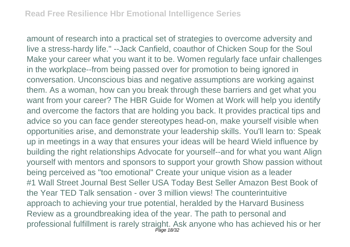amount of research into a practical set of strategies to overcome adversity and live a stress-hardy life." --Jack Canfield, coauthor of Chicken Soup for the Soul Make your career what you want it to be. Women regularly face unfair challenges in the workplace--from being passed over for promotion to being ignored in conversation. Unconscious bias and negative assumptions are working against them. As a woman, how can you break through these barriers and get what you want from your career? The HBR Guide for Women at Work will help you identify and overcome the factors that are holding you back. It provides practical tips and advice so you can face gender stereotypes head-on, make yourself visible when opportunities arise, and demonstrate your leadership skills. You'll learn to: Speak up in meetings in a way that ensures your ideas will be heard Wield influence by building the right relationships Advocate for yourself--and for what you want Align yourself with mentors and sponsors to support your growth Show passion without being perceived as "too emotional" Create your unique vision as a leader #1 Wall Street Journal Best Seller USA Today Best Seller Amazon Best Book of the Year TED Talk sensation - over 3 million views! The counterintuitive approach to achieving your true potential, heralded by the Harvard Business Review as a groundbreaking idea of the year. The path to personal and professional fulfillment is rarely straight. Ask anyone who has achieved his or her<br>Page 18/32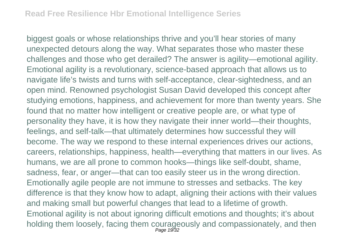biggest goals or whose relationships thrive and you'll hear stories of many unexpected detours along the way. What separates those who master these challenges and those who get derailed? The answer is agility—emotional agility. Emotional agility is a revolutionary, science-based approach that allows us to navigate life's twists and turns with self-acceptance, clear-sightedness, and an open mind. Renowned psychologist Susan David developed this concept after studying emotions, happiness, and achievement for more than twenty years. She found that no matter how intelligent or creative people are, or what type of personality they have, it is how they navigate their inner world—their thoughts, feelings, and self-talk—that ultimately determines how successful they will become. The way we respond to these internal experiences drives our actions, careers, relationships, happiness, health—everything that matters in our lives. As humans, we are all prone to common hooks—things like self-doubt, shame, sadness, fear, or anger—that can too easily steer us in the wrong direction. Emotionally agile people are not immune to stresses and setbacks. The key difference is that they know how to adapt, aligning their actions with their values and making small but powerful changes that lead to a lifetime of growth. Emotional agility is not about ignoring difficult emotions and thoughts; it's about holding them loosely, facing them courageously and compassionately, and then<br>Page 19/32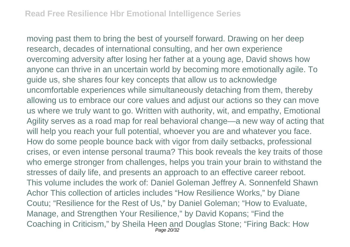moving past them to bring the best of yourself forward. Drawing on her deep research, decades of international consulting, and her own experience overcoming adversity after losing her father at a young age, David shows how anyone can thrive in an uncertain world by becoming more emotionally agile. To guide us, she shares four key concepts that allow us to acknowledge uncomfortable experiences while simultaneously detaching from them, thereby allowing us to embrace our core values and adjust our actions so they can move us where we truly want to go. Written with authority, wit, and empathy, Emotional Agility serves as a road map for real behavioral change—a new way of acting that will help you reach your full potential, whoever you are and whatever you face. How do some people bounce back with vigor from daily setbacks, professional crises, or even intense personal trauma? This book reveals the key traits of those who emerge stronger from challenges, helps you train your brain to withstand the stresses of daily life, and presents an approach to an effective career reboot. This volume includes the work of: Daniel Goleman Jeffrey A. Sonnenfeld Shawn Achor This collection of articles includes "How Resilience Works," by Diane Coutu; "Resilience for the Rest of Us," by Daniel Goleman; "How to Evaluate, Manage, and Strengthen Your Resilience," by David Kopans; "Find the Coaching in Criticism," by Sheila Heen and Douglas Stone; "Firing Back: How Page 20/32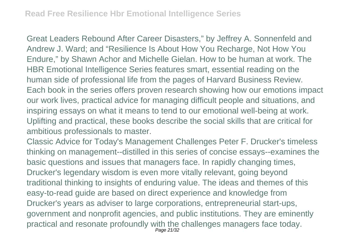Great Leaders Rebound After Career Disasters," by Jeffrey A. Sonnenfeld and Andrew J. Ward; and "Resilience Is About How You Recharge, Not How You Endure," by Shawn Achor and Michelle Gielan. How to be human at work. The HBR Emotional Intelligence Series features smart, essential reading on the human side of professional life from the pages of Harvard Business Review. Each book in the series offers proven research showing how our emotions impact our work lives, practical advice for managing difficult people and situations, and inspiring essays on what it means to tend to our emotional well-being at work. Uplifting and practical, these books describe the social skills that are critical for ambitious professionals to master.

Classic Advice for Today's Management Challenges Peter F. Drucker's timeless thinking on management--distilled in this series of concise essays--examines the basic questions and issues that managers face. In rapidly changing times, Drucker's legendary wisdom is even more vitally relevant, going beyond traditional thinking to insights of enduring value. The ideas and themes of this easy-to-read guide are based on direct experience and knowledge from Drucker's years as adviser to large corporations, entrepreneurial start-ups, government and nonprofit agencies, and public institutions. They are eminently practical and resonate profoundly with the challenges managers face today. Page 21/32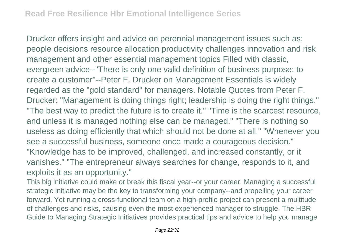Drucker offers insight and advice on perennial management issues such as: people decisions resource allocation productivity challenges innovation and risk management and other essential management topics Filled with classic, evergreen advice--"There is only one valid definition of business purpose: to create a customer"--Peter F. Drucker on Management Essentials is widely regarded as the "gold standard" for managers. Notable Quotes from Peter F. Drucker: "Management is doing things right; leadership is doing the right things." "The best way to predict the future is to create it." "Time is the scarcest resource, and unless it is managed nothing else can be managed." "There is nothing so useless as doing efficiently that which should not be done at all." "Whenever you see a successful business, someone once made a courageous decision." "Knowledge has to be improved, challenged, and increased constantly, or it vanishes." "The entrepreneur always searches for change, responds to it, and exploits it as an opportunity."

This big initiative could make or break this fiscal year--or your career. Managing a successful strategic initiative may be the key to transforming your company--and propelling your career forward. Yet running a cross-functional team on a high-profile project can present a multitude of challenges and risks, causing even the most experienced manager to struggle. The HBR Guide to Managing Strategic Initiatives provides practical tips and advice to help you manage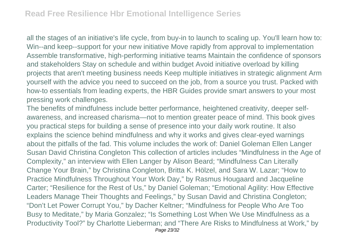all the stages of an initiative's life cycle, from buy-in to launch to scaling up. You'll learn how to: Win--and keep--support for your new initiative Move rapidly from approval to implementation Assemble transformative, high-performing initiative teams Maintain the confidence of sponsors and stakeholders Stay on schedule and within budget Avoid initiative overload by killing projects that aren't meeting business needs Keep multiple initiatives in strategic alignment Arm yourself with the advice you need to succeed on the job, from a source you trust. Packed with how-to essentials from leading experts, the HBR Guides provide smart answers to your most pressing work challenges.

The benefits of mindfulness include better performance, heightened creativity, deeper selfawareness, and increased charisma—not to mention greater peace of mind. This book gives you practical steps for building a sense of presence into your daily work routine. It also explains the science behind mindfulness and why it works and gives clear-eyed warnings about the pitfalls of the fad. This volume includes the work of: Daniel Goleman Ellen Langer Susan David Christina Congleton This collection of articles includes "Mindfulness in the Age of Complexity," an interview with Ellen Langer by Alison Beard; "Mindfulness Can Literally Change Your Brain," by Christina Congleton, Britta K. Hölzel, and Sara W. Lazar; "How to Practice Mindfulness Throughout Your Work Day," by Rasmus Hougaard and Jacqueline Carter; "Resilience for the Rest of Us," by Daniel Goleman; "Emotional Agility: How Effective Leaders Manage Their Thoughts and Feelings," by Susan David and Christina Congleton; "Don't Let Power Corrupt You," by Dacher Keltner; "Mindfulness for People Who Are Too Busy to Meditate," by Maria Gonzalez; "Is Something Lost When We Use Mindfulness as a Productivity Tool?" by Charlotte Lieberman; and "There Are Risks to Mindfulness at Work," by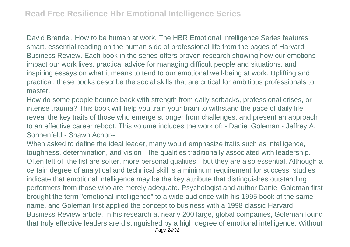David Brendel. How to be human at work. The HBR Emotional Intelligence Series features smart, essential reading on the human side of professional life from the pages of Harvard Business Review. Each book in the series offers proven research showing how our emotions impact our work lives, practical advice for managing difficult people and situations, and inspiring essays on what it means to tend to our emotional well-being at work. Uplifting and practical, these books describe the social skills that are critical for ambitious professionals to master.

How do some people bounce back with strength from daily setbacks, professional crises, or intense trauma? This book will help you train your brain to withstand the pace of daily life, reveal the key traits of those who emerge stronger from challenges, and present an approach to an effective career reboot. This volume includes the work of: - Daniel Goleman - Jeffrey A. Sonnenfeld - Shawn Achor--

When asked to define the ideal leader, many would emphasize traits such as intelligence, toughness, determination, and vision—the qualities traditionally associated with leadership. Often left off the list are softer, more personal qualities—but they are also essential. Although a certain degree of analytical and technical skill is a minimum requirement for success, studies indicate that emotional intelligence may be the key attribute that distinguishes outstanding performers from those who are merely adequate. Psychologist and author Daniel Goleman first brought the term "emotional intelligence" to a wide audience with his 1995 book of the same name, and Goleman first applied the concept to business with a 1998 classic Harvard Business Review article. In his research at nearly 200 large, global companies, Goleman found that truly effective leaders are distinguished by a high degree of emotional intelligence. Without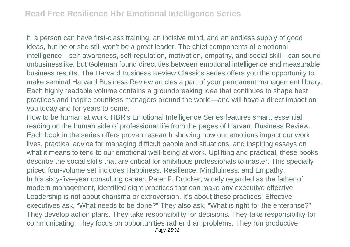it, a person can have first-class training, an incisive mind, and an endless supply of good ideas, but he or she still won't be a great leader. The chief components of emotional intelligence—self-awareness, self-regulation, motivation, empathy, and social skill—can sound unbusinesslike, but Goleman found direct ties between emotional intelligence and measurable business results. The Harvard Business Review Classics series offers you the opportunity to make seminal Harvard Business Review articles a part of your permanent management library. Each highly readable volume contains a groundbreaking idea that continues to shape best practices and inspire countless managers around the world—and will have a direct impact on you today and for years to come.

How to be human at work. HBR's Emotional Intelligence Series features smart, essential reading on the human side of professional life from the pages of Harvard Business Review. Each book in the series offers proven research showing how our emotions impact our work lives, practical advice for managing difficult people and situations, and inspiring essays on what it means to tend to our emotional well-being at work. Uplifting and practical, these books describe the social skills that are critical for ambitious professionals to master. This specially priced four-volume set includes Happiness, Resilience, Mindfulness, and Empathy. In his sixty-five-year consulting career, Peter F. Drucker, widely regarded as the father of modern management, identified eight practices that can make any executive effective. Leadership is not about charisma or extroversion. It's about these practices: Effective executives ask, "What needs to be done?" They also ask, "What is right for the enterprise?" They develop action plans. They take responsibility for decisions. They take responsibility for communicating. They focus on opportunities rather than problems. They run productive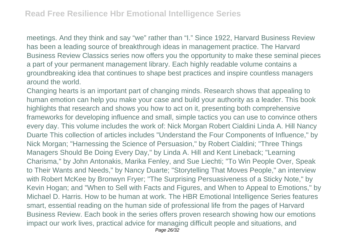meetings. And they think and say "we" rather than "I." Since 1922, Harvard Business Review has been a leading source of breakthrough ideas in management practice. The Harvard Business Review Classics series now offers you the opportunity to make these seminal pieces a part of your permanent management library. Each highly readable volume contains a groundbreaking idea that continues to shape best practices and inspire countless managers around the world.

Changing hearts is an important part of changing minds. Research shows that appealing to human emotion can help you make your case and build your authority as a leader. This book highlights that research and shows you how to act on it, presenting both comprehensive frameworks for developing influence and small, simple tactics you can use to convince others every day. This volume includes the work of: Nick Morgan Robert Cialdini Linda A. Hill Nancy Duarte This collection of articles includes "Understand the Four Components of Influence," by Nick Morgan; "Harnessing the Science of Persuasion," by Robert Cialdini; "Three Things Managers Should Be Doing Every Day," by Linda A. Hill and Kent Lineback; "Learning Charisma," by John Antonakis, Marika Fenley, and Sue Liechti; "To Win People Over, Speak to Their Wants and Needs," by Nancy Duarte; "Storytelling That Moves People," an interview with Robert McKee by Bronwyn Fryer; "The Surprising Persuasiveness of a Sticky Note," by Kevin Hogan; and "When to Sell with Facts and Figures, and When to Appeal to Emotions," by Michael D. Harris. How to be human at work. The HBR Emotional Intelligence Series features smart, essential reading on the human side of professional life from the pages of Harvard Business Review. Each book in the series offers proven research showing how our emotions impact our work lives, practical advice for managing difficult people and situations, and Page 26/32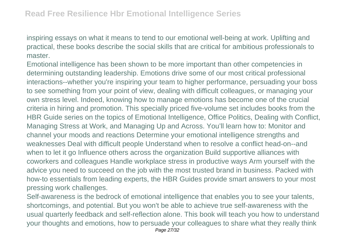inspiring essays on what it means to tend to our emotional well-being at work. Uplifting and practical, these books describe the social skills that are critical for ambitious professionals to master.

Emotional intelligence has been shown to be more important than other competencies in determining outstanding leadership. Emotions drive some of our most critical professional interactions--whether you're inspiring your team to higher performance, persuading your boss to see something from your point of view, dealing with difficult colleagues, or managing your own stress level. Indeed, knowing how to manage emotions has become one of the crucial criteria in hiring and promotion. This specially priced five-volume set includes books from the HBR Guide series on the topics of Emotional Intelligence, Office Politics, Dealing with Conflict, Managing Stress at Work, and Managing Up and Across. You'll learn how to: Monitor and channel your moods and reactions Determine your emotional intelligence strengths and weaknesses Deal with difficult people Understand when to resolve a conflict head-on--and when to let it go Influence others across the organization Build supportive alliances with coworkers and colleagues Handle workplace stress in productive ways Arm yourself with the advice you need to succeed on the job with the most trusted brand in business. Packed with how-to essentials from leading experts, the HBR Guides provide smart answers to your most pressing work challenges.

Self-awareness is the bedrock of emotional intelligence that enables you to see your talents, shortcomings, and potential. But you won't be able to achieve true self-awareness with the usual quarterly feedback and self-reflection alone. This book will teach you how to understand your thoughts and emotions, how to persuade your colleagues to share what they really think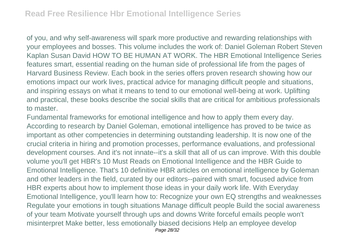of you, and why self-awareness will spark more productive and rewarding relationships with your employees and bosses. This volume includes the work of: Daniel Goleman Robert Steven Kaplan Susan David HOW TO BE HUMAN AT WORK. The HBR Emotional Intelligence Series features smart, essential reading on the human side of professional life from the pages of Harvard Business Review. Each book in the series offers proven research showing how our emotions impact our work lives, practical advice for managing difficult people and situations, and inspiring essays on what it means to tend to our emotional well-being at work. Uplifting and practical, these books describe the social skills that are critical for ambitious professionals to master.

Fundamental frameworks for emotional intelligence and how to apply them every day. According to research by Daniel Goleman, emotional intelligence has proved to be twice as important as other competencies in determining outstanding leadership. It is now one of the crucial criteria in hiring and promotion processes, performance evaluations, and professional development courses. And it's not innate--it's a skill that all of us can improve. With this double volume you'll get HBR's 10 Must Reads on Emotional Intelligence and the HBR Guide to Emotional Intelligence. That's 10 definitive HBR articles on emotional intelligence by Goleman and other leaders in the field, curated by our editors--paired with smart, focused advice from HBR experts about how to implement those ideas in your daily work life. With Everyday Emotional Intelligence, you'll learn how to: Recognize your own EQ strengths and weaknesses Regulate your emotions in tough situations Manage difficult people Build the social awareness of your team Motivate yourself through ups and downs Write forceful emails people won't misinterpret Make better, less emotionally biased decisions Help an employee develop Page 28/32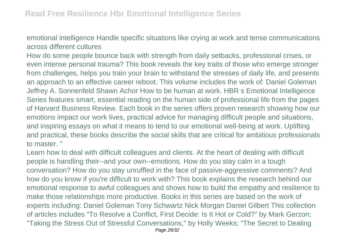emotional intelligence Handle specific situations like crying at work and tense communications across different cultures

How do some people bounce back with strength from daily setbacks, professional crises, or even intense personal trauma? This book reveals the key traits of those who emerge stronger from challenges, helps you train your brain to withstand the stresses of daily life, and presents an approach to an effective career reboot. This volume includes the work of: Daniel Goleman Jeffrey A. Sonnenfeld Shawn Achor How to be human at work. HBR s Emotional Intelligence Series features smart, essential reading on the human side of professional life from the pages of Harvard Business Review. Each book in the series offers proven research showing how our emotions impact our work lives, practical advice for managing difficult people and situations, and inspiring essays on what it means to tend to our emotional well-being at work. Uplifting and practical, these books describe the social skills that are critical for ambitious professionals to master. "

Learn how to deal with difficult colleagues and clients. At the heart of dealing with difficult people is handling their--and your own--emotions. How do you stay calm in a tough conversation? How do you stay unruffled in the face of passive-aggressive comments? And how do you know if you're difficult to work with? This book explains the research behind our emotional response to awful colleagues and shows how to build the empathy and resilience to make those relationships more productive. Books in this series are based on the work of experts including: Daniel Goleman Tony Schwartz Nick Morgan Daniel Gilbert This collection of articles includes "To Resolve a Conflict, First Decide: Is It Hot or Cold?" by Mark Gerzon; "Taking the Stress Out of Stressful Conversations," by Holly Weeks; "The Secret to Dealing Page 29/32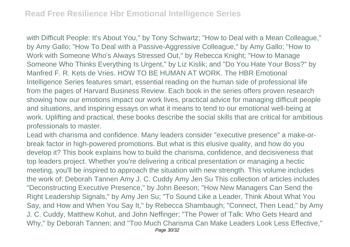with Difficult People: It's About You," by Tony Schwartz; "How to Deal with a Mean Colleague," by Amy Gallo; "How To Deal with a Passive-Aggressive Colleague," by Amy Gallo; "How to Work with Someone Who's Always Stressed Out," by Rebecca Knight; "How to Manage Someone Who Thinks Everything Is Urgent," by Liz Kislik; and "Do You Hate Your Boss?" by Manfred F. R. Kets de Vries. HOW TO BE HUMAN AT WORK. The HBR Emotional Intelligence Series features smart, essential reading on the human side of professional life from the pages of Harvard Business Review. Each book in the series offers proven research showing how our emotions impact our work lives, practical advice for managing difficult people and situations, and inspiring essays on what it means to tend to our emotional well-being at work. Uplifting and practical, these books describe the social skills that are critical for ambitious professionals to master.

Lead with charisma and confidence. Many leaders consider "executive presence" a make-orbreak factor in high-powered promotions. But what is this elusive quality, and how do you develop it? This book explains how to build the charisma, confidence, and decisiveness that top leaders project. Whether you're delivering a critical presentation or managing a hectic meeting, you'll be inspired to approach the situation with new strength. This volume includes the work of: Deborah Tannen Amy J. C. Cuddy Amy Jen Su This collection of articles includes "Deconstructing Executive Presence," by John Beeson; "How New Managers Can Send the Right Leadership Signals," by Amy Jen Su; "To Sound Like a Leader, Think About What You Say, and How and When You Say It," by Rebecca Shambaugh; "Connect, Then Lead," by Amy J. C. Cuddy, Matthew Kohut, and John Neffinger; "The Power of Talk: Who Gets Heard and Why," by Deborah Tannen; and "Too Much Charisma Can Make Leaders Look Less Effective,"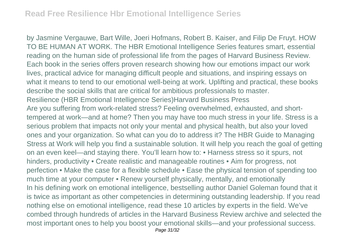by Jasmine Vergauwe, Bart Wille, Joeri Hofmans, Robert B. Kaiser, and Filip De Fruyt. HOW TO BE HUMAN AT WORK. The HBR Emotional Intelligence Series features smart, essential reading on the human side of professional life from the pages of Harvard Business Review. Each book in the series offers proven research showing how our emotions impact our work lives, practical advice for managing difficult people and situations, and inspiring essays on what it means to tend to our emotional well-being at work. Uplifting and practical, these books describe the social skills that are critical for ambitious professionals to master. Resilience (HBR Emotional Intelligence Series)Harvard Business Press Are you suffering from work-related stress? Feeling overwhelmed, exhausted, and shorttempered at work—and at home? Then you may have too much stress in your life. Stress is a serious problem that impacts not only your mental and physical health, but also your loved ones and your organization. So what can you do to address it? The HBR Guide to Managing Stress at Work will help you find a sustainable solution. It will help you reach the goal of getting on an even keel—and staying there. You'll learn how to: • Harness stress so it spurs, not hinders, productivity • Create realistic and manageable routines • Aim for progress, not perfection • Make the case for a flexible schedule • Ease the physical tension of spending too much time at your computer • Renew yourself physically, mentally, and emotionally In his defining work on emotional intelligence, bestselling author Daniel Goleman found that it is twice as important as other competencies in determining outstanding leadership. If you read nothing else on emotional intelligence, read these 10 articles by experts in the field. We've combed through hundreds of articles in the Harvard Business Review archive and selected the most important ones to help you boost your emotional skills—and your professional success.